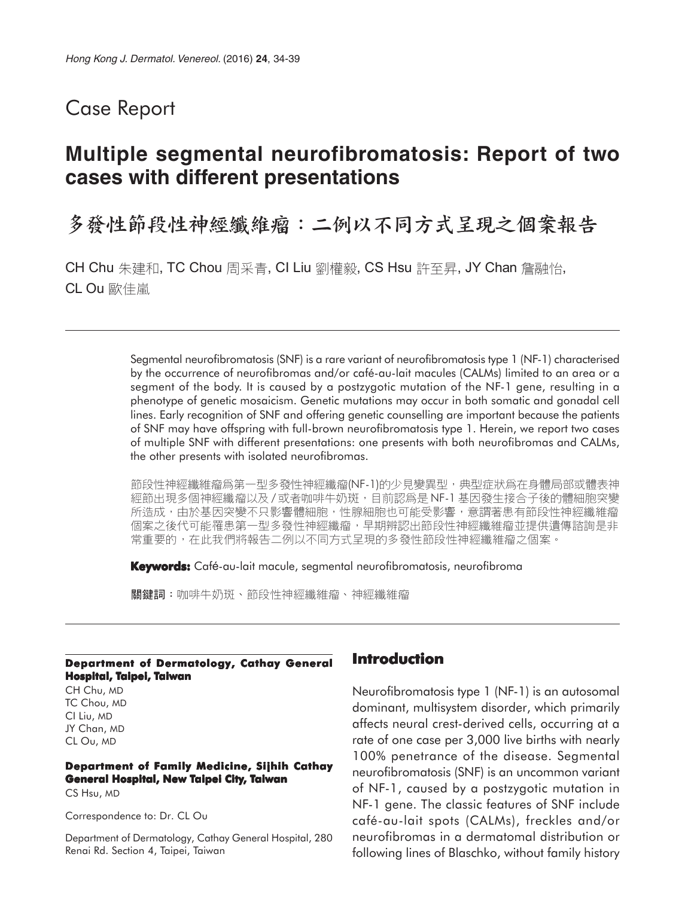## Case Report

# **Multiple segmental neurofibromatosis: Report of two cases with different presentations**

# 多發性節段性神經纖維瘤:二例以不同方式呈現之個案報告

CH Chu 朱建和, TC Chou 周采青, CI Liu 劉權毅, CS Hsu 許至昇, JY Chan 詹融怡, CL Ou 歐佳嵐

> Segmental neurofibromatosis (SNF) is a rare variant of neurofibromatosis type 1 (NF-1) characterised by the occurrence of neurofibromas and/or café-au-lait macules (CALMs) limited to an area or a segment of the body. It is caused by a postzygotic mutation of the NF-1 gene, resulting in a phenotype of genetic mosaicism. Genetic mutations may occur in both somatic and gonadal cell lines. Early recognition of SNF and offering genetic counselling are important because the patients of SNF may have offspring with full-brown neurofibromatosis type 1. Herein, we report two cases of multiple SNF with different presentations: one presents with both neurofibromas and CALMs, the other presents with isolated neurofibromas.

> 節段性神經纖維瘤爲第一型多發性神經纖瘤(NF-1)的少見變異型,典型症狀爲在身體局部或體表神 經節出現多個神經纖瘤以及/或者咖啡牛奶斑,目前認爲是 NF-1 基因發生接合子後的體細胞突變 所造成,由於基因突變不只影響體細胞,性腺細胞也可能受影響,意謂著患有節段性神經纖維瘤 個案之後代可能罹患第一型多發性神經纖瘤,早期辨認出節段性神經纖維瘤並提供遺傳諮詢是非 常重要的,在此我們將報告二例以不同方式呈現的多發性節段性神經纖維瘤之個案。

**Keywords:** Café-au-lait macule, segmental neurofibromatosis, neurofibroma

關鍵詞:咖啡牛奶斑、節段性神經纖維瘤、神經纖維瘤

#### **Department of Dermatology, Cathay General Hospital, Taipei, Taiwan**

CH Chu, MD TC Chou, MD CI Liu, MD JY Chan, MD CL Ou, MD

#### **Department of Family Medicine, Sijhih Cathay General Hospital, New Taipei City, Taiwan**

CS Hsu, MD

Correspondence to: Dr. CL Ou

Department of Dermatology, Cathay General Hospital, 280 Renai Rd. Section 4, Taipei, Taiwan

### **Introduction**

Neurofibromatosis type 1 (NF-1) is an autosomal dominant, multisystem disorder, which primarily affects neural crest-derived cells, occurring at a rate of one case per 3,000 live births with nearly 100% penetrance of the disease. Segmental neurofibromatosis (SNF) is an uncommon variant of NF-1, caused by a postzygotic mutation in NF-1 gene. The classic features of SNF include café-au-lait spots (CALMs), freckles and/or neurofibromas in a dermatomal distribution or following lines of Blaschko, without family history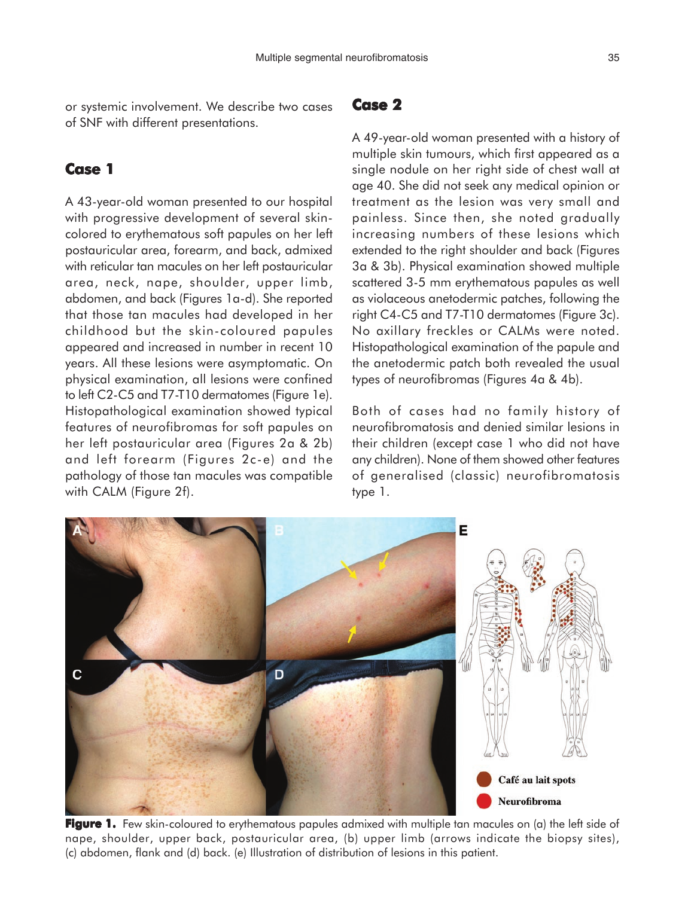or systemic involvement. We describe two cases of SNF with different presentations.

## **Case 1**

A 43-year-old woman presented to our hospital with progressive development of several skincolored to erythematous soft papules on her left postauricular area, forearm, and back, admixed with reticular tan macules on her left postauricular area, neck, nape, shoulder, upper limb, abdomen, and back (Figures 1a-d). She reported that those tan macules had developed in her childhood but the skin-coloured papules appeared and increased in number in recent 10 years. All these lesions were asymptomatic. On physical examination, all lesions were confined to left C2-C5 and T7-T10 dermatomes (Figure 1e). Histopathological examination showed typical features of neurofibromas for soft papules on her left postauricular area (Figures 2a & 2b) and left forearm (Figures 2c-e) and the pathology of those tan macules was compatible with CALM (Figure 2f).

#### **Case 2**

A 49-year-old woman presented with a history of multiple skin tumours, which first appeared as a single nodule on her right side of chest wall at age 40. She did not seek any medical opinion or treatment as the lesion was very small and painless. Since then, she noted gradually increasing numbers of these lesions which extended to the right shoulder and back (Figures 3a & 3b). Physical examination showed multiple scattered 3-5 mm erythematous papules as well as violaceous anetodermic patches, following the right C4-C5 and T7-T10 dermatomes (Figure 3c). No axillary freckles or CALMs were noted. Histopathological examination of the papule and the anetodermic patch both revealed the usual types of neurofibromas (Figures 4a & 4b).

Both of cases had no family history of neurofibromatosis and denied similar lesions in their children (except case 1 who did not have any children). None of them showed other features of generalised (classic) neurofibromatosis type 1.



**Figure 1.** Few skin-coloured to erythematous papules admixed with multiple tan macules on (a) the left side of nape, shoulder, upper back, postauricular area, (b) upper limb (arrows indicate the biopsy sites), (c) abdomen, flank and (d) back. (e) Illustration of distribution of lesions in this patient.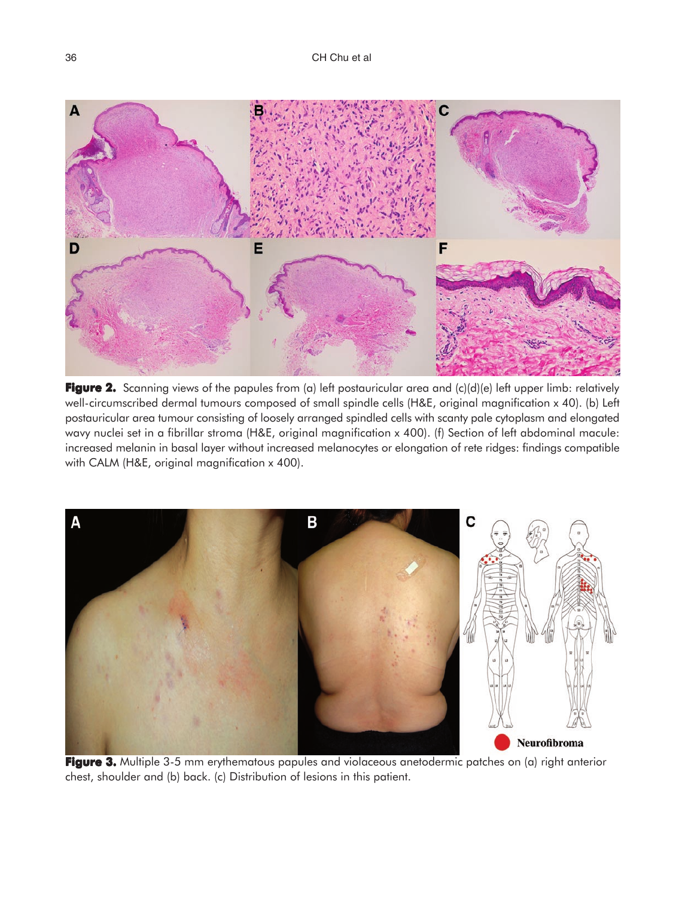

**Figure 2.** Scanning views of the papules from (a) left postauricular area and (c)(d)(e) left upper limb: relatively well-circumscribed dermal tumours composed of small spindle cells (H&E, original magnification x 40). (b) Left postauricular area tumour consisting of loosely arranged spindled cells with scanty pale cytoplasm and elongated wavy nuclei set in a fibrillar stroma (H&E, original magnification x 400). (f) Section of left abdominal macule: increased melanin in basal layer without increased melanocytes or elongation of rete ridges: findings compatible with CALM (H&E, original magnification x 400).



**Figure 3.** Multiple 3-5 mm erythematous papules and violaceous anetodermic patches on (a) right anterior chest, shoulder and (b) back. (c) Distribution of lesions in this patient.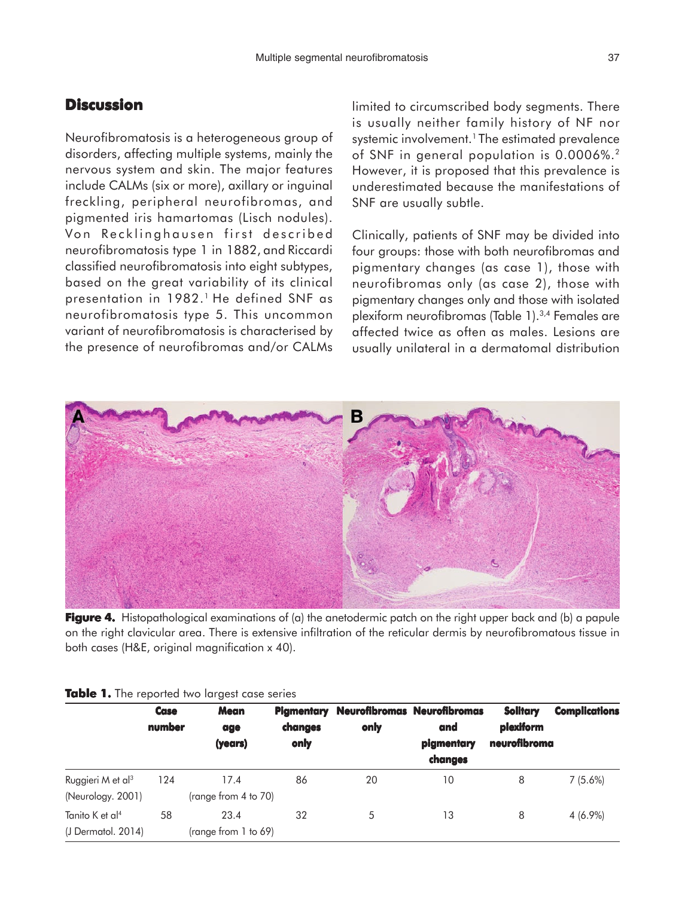## **Discussion**

Neurofibromatosis is a heterogeneous group of disorders, affecting multiple systems, mainly the nervous system and skin. The major features include CALMs (six or more), axillary or inguinal freckling, peripheral neurofibromas, and pigmented iris hamartomas (Lisch nodules). Von Recklinghausen first described neurofibromatosis type 1 in 1882, and Riccardi classified neurofibromatosis into eight subtypes, based on the great variability of its clinical presentation in 1982.<sup>1</sup> He defined SNF as neurofibromatosis type 5. This uncommon variant of neurofibromatosis is characterised by the presence of neurofibromas and/or CALMs

limited to circumscribed body segments. There is usually neither family history of NF nor systemic involvement.<sup>1</sup> The estimated prevalence of SNF in general population is 0.0006%.2 However, it is proposed that this prevalence is underestimated because the manifestations of SNF are usually subtle.

Clinically, patients of SNF may be divided into four groups: those with both neurofibromas and pigmentary changes (as case 1), those with neurofibromas only (as case 2), those with pigmentary changes only and those with isolated plexiform neurofibromas (Table 1).3,4 Females are affected twice as often as males. Lesions are usually unilateral in a dermatomal distribution



**Figure 4.** Histopathological examinations of (a) the anetodermic patch on the right upper back and (b) a papule on the right clavicular area. There is extensive infiltration of the reticular dermis by neurofibromatous tissue in both cases (H&E, original magnification x 40).

|                                                     | <b>Case</b><br>number | <b>Mean</b><br>age<br>(years)  | <b>Pigmentary</b><br>changes<br>only | only | <b>Neurofibromas Neurofibromas</b><br>and<br>pigmentary<br>changes | <b>Solitary</b><br>plexiform<br>neurofibroma | <b>Complications</b> |
|-----------------------------------------------------|-----------------------|--------------------------------|--------------------------------------|------|--------------------------------------------------------------------|----------------------------------------------|----------------------|
|                                                     |                       |                                |                                      |      |                                                                    |                                              |                      |
| Ruggieri M et al <sup>3</sup><br>(Neurology. 2001)  | 124                   | 17.4<br>(range from 4 to 70)   | 86                                   | 20   | 10                                                                 | 8                                            | $7(5.6\%)$           |
| Tanito K et al <sup>4</sup><br>$(J$ Dermatol, 2014) | 58                    | 23.4<br>(range from $1$ to 69) | 32                                   | 5    | 13                                                                 | 8                                            | $4(6.9\%)$           |

#### **Table 1.** The reported two largest case series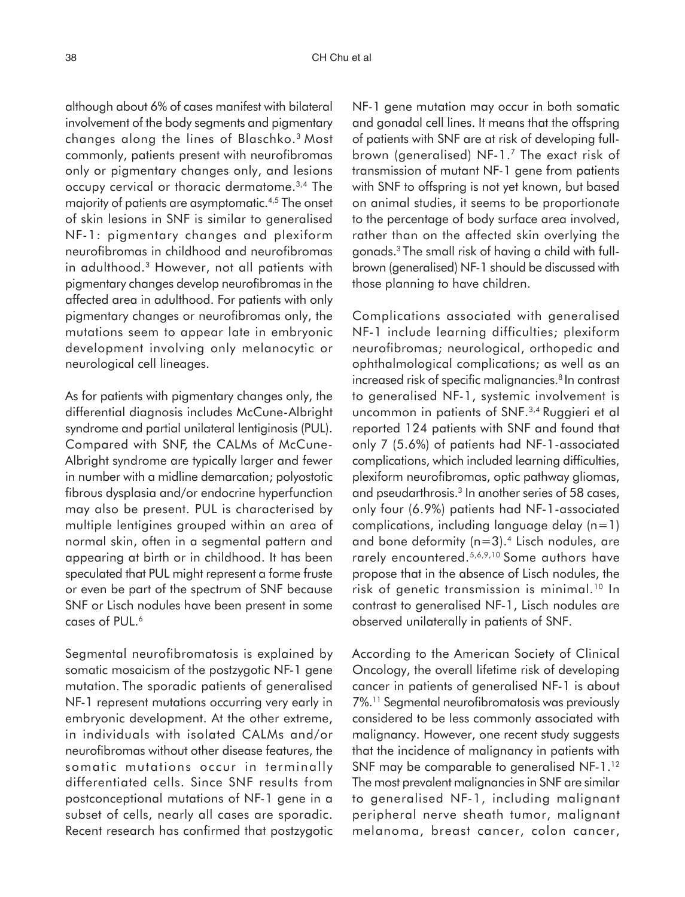although about 6% of cases manifest with bilateral involvement of the body segments and pigmentary changes along the lines of Blaschko.3 Most commonly, patients present with neurofibromas only or pigmentary changes only, and lesions occupy cervical or thoracic dermatome.3,4 The majority of patients are asymptomatic.4,5 The onset of skin lesions in SNF is similar to generalised NF-1: pigmentary changes and plexiform neurofibromas in childhood and neurofibromas in adulthood.3 However, not all patients with pigmentary changes develop neurofibromas in the affected area in adulthood. For patients with only pigmentary changes or neurofibromas only, the mutations seem to appear late in embryonic development involving only melanocytic or neurological cell lineages.

As for patients with pigmentary changes only, the differential diagnosis includes McCune-Albright syndrome and partial unilateral lentiginosis (PUL). Compared with SNF, the CALMs of McCune-Albright syndrome are typically larger and fewer in number with a midline demarcation; polyostotic fibrous dysplasia and/or endocrine hyperfunction may also be present. PUL is characterised by multiple lentigines grouped within an area of normal skin, often in a segmental pattern and appearing at birth or in childhood. It has been speculated that PUL might represent a forme fruste or even be part of the spectrum of SNF because SNF or Lisch nodules have been present in some cases of PUL.<sup>6</sup>

Segmental neurofibromatosis is explained by somatic mosaicism of the postzygotic NF-1 gene mutation. The sporadic patients of generalised NF-1 represent mutations occurring very early in embryonic development. At the other extreme, in individuals with isolated CALMs and/or neurofibromas without other disease features, the somatic mutations occur in terminally differentiated cells. Since SNF results from postconceptional mutations of NF-1 gene in a subset of cells, nearly all cases are sporadic. Recent research has confirmed that postzygotic NF-1 gene mutation may occur in both somatic and gonadal cell lines. It means that the offspring of patients with SNF are at risk of developing fullbrown (generalised) NF-1.7 The exact risk of transmission of mutant NF-1 gene from patients with SNF to offspring is not yet known, but based on animal studies, it seems to be proportionate to the percentage of body surface area involved, rather than on the affected skin overlying the gonads.3 The small risk of having a child with fullbrown (generalised) NF-1 should be discussed with those planning to have children.

Complications associated with generalised NF-1 include learning difficulties; plexiform neurofibromas; neurological, orthopedic and ophthalmological complications; as well as an increased risk of specific malignancies.<sup>8</sup> In contrast to generalised NF-1, systemic involvement is uncommon in patients of SNF.3,4 Ruggieri et al reported 124 patients with SNF and found that only 7 (5.6%) of patients had NF-1-associated complications, which included learning difficulties, plexiform neurofibromas, optic pathway gliomas, and pseudarthrosis.<sup>3</sup> In another series of 58 cases, only four (6.9%) patients had NF-1-associated complications, including language delay (n=1) and bone deformity ( $n=3$ ).<sup>4</sup> Lisch nodules, are rarely encountered.5,6,9,10 Some authors have propose that in the absence of Lisch nodules, the risk of genetic transmission is minimal.<sup>10</sup> In contrast to generalised NF-1, Lisch nodules are observed unilaterally in patients of SNF.

According to the American Society of Clinical Oncology, the overall lifetime risk of developing cancer in patients of generalised NF-1 is about 7%.11 Segmental neurofibromatosis was previously considered to be less commonly associated with malignancy. However, one recent study suggests that the incidence of malignancy in patients with SNF may be comparable to generalised NF-1.12 The most prevalent malignancies in SNF are similar to generalised NF-1, including malignant peripheral nerve sheath tumor, malignant melanoma, breast cancer, colon cancer,